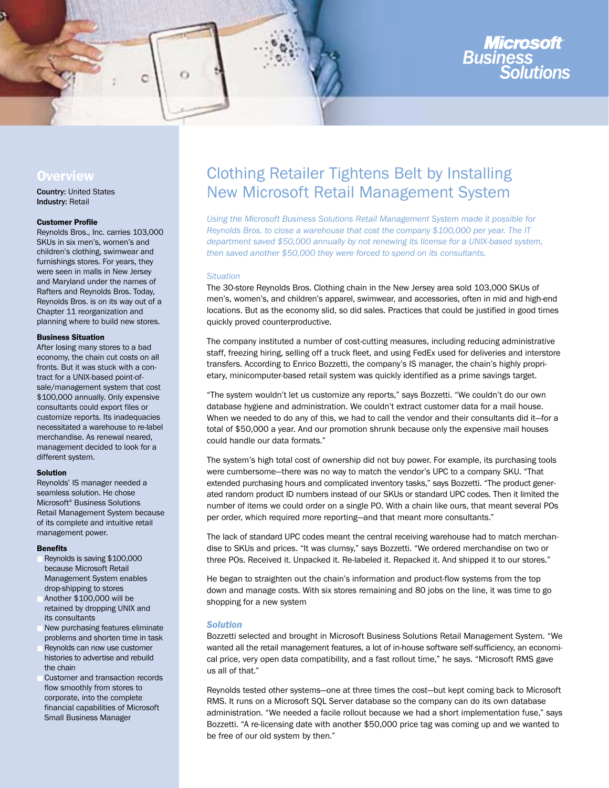

# **Overview**

Country: United States Industry: Retail

# Customer Profile

Reynolds Bros., Inc. carries 103,000 SKUs in six men's, women's and children's clothing, swimwear and furnishings stores. For years, they were seen in malls in New Jersey and Maryland under the names of Rafters and Reynolds Bros. Today, Reynolds Bros. is on its way out of a Chapter 11 reorganization and planning where to build new stores.

## Business Situation

After losing many stores to a bad economy, the chain cut costs on all fronts. But it was stuck with a contract for a UNIX-based point-ofsale/management system that cost \$100,000 annually. Only expensive consultants could export files or customize reports. Its inadequacies necessitated a warehouse to re-label merchandise. As renewal neared, management decided to look for a different system.

#### Solution

Reynolds' IS manager needed a seamless solution. He chose Microsoft® Business Solutions Retail Management System because of its complete and intuitive retail management power.

#### Benefits

- Reynolds is saving \$100,000 because Microsoft Retail Management System enables drop-shipping to stores
- Another \$100,000 will be retained by dropping UNIX and its consultants
- New purchasing features eliminate problems and shorten time in task
- Reynolds can now use customer histories to advertise and rebuild the chain
- Customer and transaction records flow smoothly from stores to corporate, into the complete financial capabilities of Microsoft Small Business Manager

# Clothing Retailer Tightens Belt by Installing New Microsoft Retail Management System

*Using the Microsoft Business Solutions Retail Management System made it possible for Reynolds Bros. to close a warehouse that cost the company \$100,000 per year. The IT department saved \$50,000 annually by not renewing its license for a UNIX-based system, then saved another \$50,000 they were forced to spend on its consultants.*

## *Situation*

The 30-store Reynolds Bros. Clothing chain in the New Jersey area sold 103,000 SKUs of men's, women's, and children's apparel, swimwear, and accessories, often in mid and high-end locations. But as the economy slid, so did sales. Practices that could be justified in good times quickly proved counterproductive.

The company instituted a number of cost-cutting measures, including reducing administrative staff, freezing hiring, selling off a truck fleet, and using FedEx used for deliveries and interstore transfers. According to Enrico Bozzetti, the company's IS manager, the chain's highly proprietary, minicomputer-based retail system was quickly identified as a prime savings target.

"The system wouldn't let us customize any reports," says Bozzetti. "We couldn't do our own database hygiene and administration. We couldn't extract customer data for a mail house. When we needed to do any of this, we had to call the vendor and their consultants did it—for a total of \$50,000 a year. And our promotion shrunk because only the expensive mail houses could handle our data formats."

The system's high total cost of ownership did not buy power. For example, its purchasing tools were cumbersome—there was no way to match the vendor's UPC to a company SKU. "That extended purchasing hours and complicated inventory tasks," says Bozzetti. "The product generated random product ID numbers instead of our SKUs or standard UPC codes. Then it limited the number of items we could order on a single PO. With a chain like ours, that meant several POs per order, which required more reporting—and that meant more consultants."

The lack of standard UPC codes meant the central receiving warehouse had to match merchandise to SKUs and prices. "It was clumsy," says Bozzetti. "We ordered merchandise on two or three POs. Received it. Unpacked it. Re-labeled it. Repacked it. And shipped it to our stores."

He began to straighten out the chain's information and product-flow systems from the top down and manage costs. With six stores remaining and 80 jobs on the line, it was time to go shopping for a new system

# *Solution*

Bozzetti selected and brought in Microsoft Business Solutions Retail Management System. "We wanted all the retail management features, a lot of in-house software self-sufficiency, an economical price, very open data compatibility, and a fast rollout time," he says. "Microsoft RMS gave us all of that."

Reynolds tested other systems—one at three times the cost—but kept coming back to Microsoft RMS. It runs on a Microsoft SQL Server database so the company can do its own database administration. "We needed a facile rollout because we had a short implementation fuse," says Bozzetti. "A re-licensing date with another \$50,000 price tag was coming up and we wanted to be free of our old system by then."